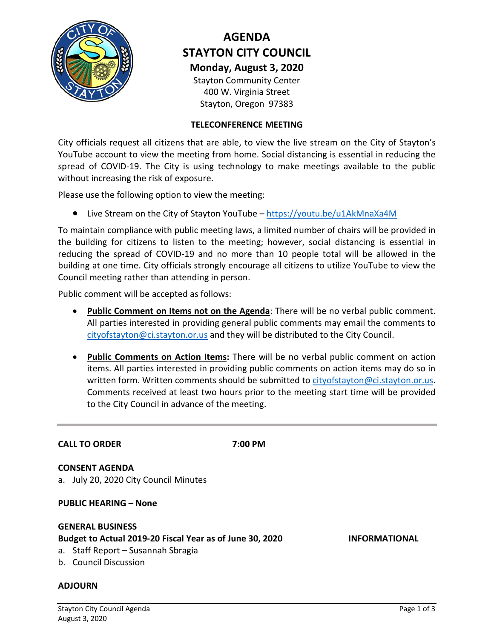

# **AGENDA STAYTON CITY COUNCIL Monday, August 3, 2020**

Stayton Community Center 400 W. Virginia Street Stayton, Oregon 97383

# **TELECONFERENCE MEETING**

City officials request all citizens that are able, to view the live stream on the City of Stayton's YouTube account to view the meeting from home. Social distancing is essential in reducing the spread of COVID-19. The City is using technology to make meetings available to the public without increasing the risk of exposure.

Please use the following option to view the meeting:

• Live Stream on the City of Stayton YouTube – <https://youtu.be/u1AkMnaXa4M>

To maintain compliance with public meeting laws, a limited number of chairs will be provided in the building for citizens to listen to the meeting; however, social distancing is essential in reducing the spread of COVID-19 and no more than 10 people total will be allowed in the building at one time. City officials strongly encourage all citizens to utilize YouTube to view the Council meeting rather than attending in person.

Public comment will be accepted as follows:

- **Public Comment on Items not on the Agenda**: There will be no verbal public comment. All parties interested in providing general public comments may email the comments to [cityofstayton@ci.stayton.or.us](mailto:cityofstayton@ci.stayton.or.us) and they will be distributed to the City Council.
- **Public Comments on Action Items:** There will be no verbal public comment on action items. All parties interested in providing public comments on action items may do so in written form. Written comments should be submitted to [cityofstayton@ci.stayton.or.us.](mailto:cityofstayton@ci.stayton.or.us) Comments received at least two hours prior to the meeting start time will be provided to the City Council in advance of the meeting.

## **CALL TO ORDER 7:00 PM**

**CONSENT AGENDA** a. July 20, 2020 City Council Minutes

**PUBLIC HEARING – None** 

# **GENERAL BUSINESS Budget to Actual 2019-20 Fiscal Year as of June 30, 2020 INFORMATIONAL**

- a. Staff Report Susannah Sbragia
- b. Council Discussion

# **ADJOURN**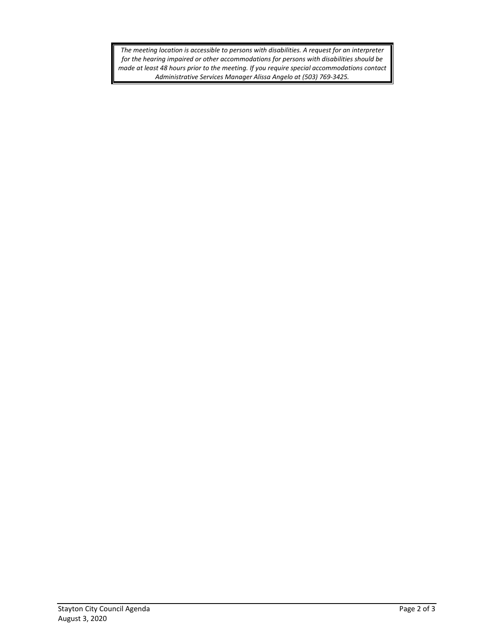*The meeting location is accessible to persons with disabilities. A request for an interpreter for the hearing impaired or other accommodations for persons with disabilities should be made at least 48 hours prior to the meeting. If you require special accommodations contact Administrative Services Manager Alissa Angelo at (503) 769-3425.*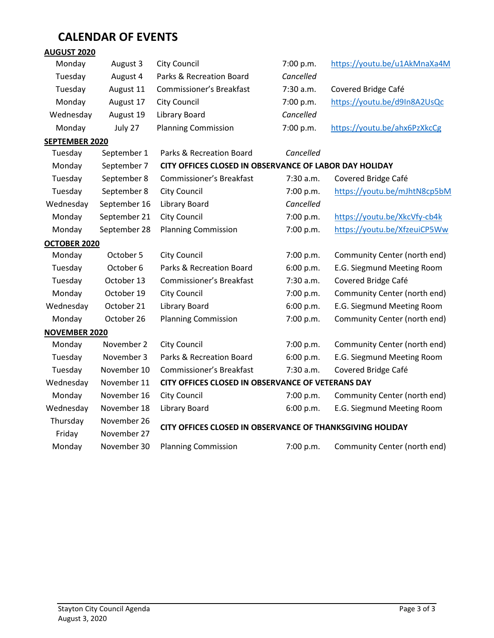# **CALENDAR OF EVENTS**

# **AUGUST 2020**

| Monday               | August 3     | <b>City Council</b>                                       | 7:00 p.m. | https://youtu.be/u1AkMnaXa4M |  |
|----------------------|--------------|-----------------------------------------------------------|-----------|------------------------------|--|
| Tuesday              | August 4     | Parks & Recreation Board                                  | Cancelled |                              |  |
| Tuesday              | August 11    | Commissioner's Breakfast                                  | 7:30 a.m. | Covered Bridge Café          |  |
| Monday               | August 17    | City Council                                              | 7:00 p.m. | https://youtu.be/d9In8A2UsQc |  |
| Wednesday            | August 19    | <b>Library Board</b>                                      | Cancelled |                              |  |
| Monday               | July 27      | <b>Planning Commission</b>                                | 7:00 p.m. | https://youtu.be/ahx6PzXkcCg |  |
| SEPTEMBER 2020       |              |                                                           |           |                              |  |
| Tuesday              | September 1  | Parks & Recreation Board                                  | Cancelled |                              |  |
| Monday               | September 7  | CITY OFFICES CLOSED IN OBSERVANCE OF LABOR DAY HOLIDAY    |           |                              |  |
| Tuesday              | September 8  | Commissioner's Breakfast                                  | 7:30 a.m. | Covered Bridge Café          |  |
| Tuesday              | September 8  | <b>City Council</b>                                       | 7:00 p.m. | https://youtu.be/mJhtN8cp5bM |  |
| Wednesday            | September 16 | <b>Library Board</b>                                      | Cancelled |                              |  |
| Monday               | September 21 | <b>City Council</b>                                       | 7:00 p.m. | https://youtu.be/XkcVfy-cb4k |  |
| Monday               | September 28 | <b>Planning Commission</b>                                | 7:00 p.m. | https://youtu.be/XfzeuiCP5Ww |  |
| OCTOBER 2020         |              |                                                           |           |                              |  |
| Monday               | October 5    | <b>City Council</b>                                       | 7:00 p.m. | Community Center (north end) |  |
| Tuesday              | October 6    | Parks & Recreation Board                                  | 6:00 p.m. | E.G. Siegmund Meeting Room   |  |
| Tuesday              | October 13   | Commissioner's Breakfast                                  | 7:30 a.m. | Covered Bridge Café          |  |
| Monday               | October 19   | <b>City Council</b>                                       | 7:00 p.m. | Community Center (north end) |  |
| Wednesday            | October 21   | <b>Library Board</b>                                      | 6:00 p.m. | E.G. Siegmund Meeting Room   |  |
| Monday               | October 26   | <b>Planning Commission</b>                                | 7:00 p.m. | Community Center (north end) |  |
| <b>NOVEMBER 2020</b> |              |                                                           |           |                              |  |
| Monday               | November 2   | <b>City Council</b>                                       | 7:00 p.m. | Community Center (north end) |  |
| Tuesday              | November 3   | Parks & Recreation Board                                  | 6:00 p.m. | E.G. Siegmund Meeting Room   |  |
| Tuesday              | November 10  | Commissioner's Breakfast                                  | 7:30 a.m. | Covered Bridge Café          |  |
| Wednesday            | November 11  | CITY OFFICES CLOSED IN OBSERVANCE OF VETERANS DAY         |           |                              |  |
| Monday               | November 16  | <b>City Council</b>                                       | 7:00 p.m. | Community Center (north end) |  |
| Wednesday            | November 18  | <b>Library Board</b>                                      | 6:00 p.m. | E.G. Siegmund Meeting Room   |  |
| Thursday             | November 26  |                                                           |           |                              |  |
| Friday               | November 27  | CITY OFFICES CLOSED IN OBSERVANCE OF THANKSGIVING HOLIDAY |           |                              |  |
| Monday               | November 30  | <b>Planning Commission</b>                                | 7:00 p.m. | Community Center (north end) |  |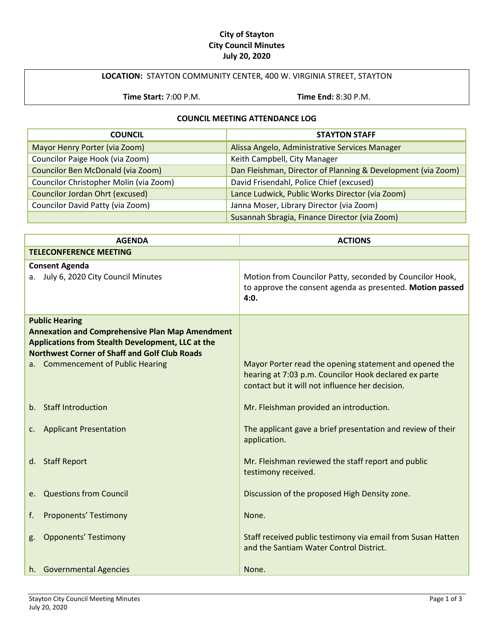## **City of Stayton City Council Minutes July 20, 2020**

# **LOCATION:** STAYTON COMMUNITY CENTER, 400 W. VIRGINIA STREET, STAYTON

**Time Start:** 7:00 P.M. **Time End:** 8:30 P.M.

#### **COUNCIL MEETING ATTENDANCE LOG**

| <b>COUNCIL</b>                         | <b>STAYTON STAFF</b>                                         |
|----------------------------------------|--------------------------------------------------------------|
| Mayor Henry Porter (via Zoom)          | Alissa Angelo, Administrative Services Manager               |
| Councilor Paige Hook (via Zoom)        | Keith Campbell, City Manager                                 |
| Councilor Ben McDonald (via Zoom)      | Dan Fleishman, Director of Planning & Development (via Zoom) |
| Councilor Christopher Molin (via Zoom) | David Frisendahl, Police Chief (excused)                     |
| Councilor Jordan Ohrt (excused)        | Lance Ludwick, Public Works Director (via Zoom)              |
| Councilor David Patty (via Zoom)       | Janna Moser, Library Director (via Zoom)                     |
|                                        | Susannah Sbragia, Finance Director (via Zoom)                |

| <b>AGENDA</b>                                                                                                                                                                                                                     | <b>ACTIONS</b>                                                                                                                |  |
|-----------------------------------------------------------------------------------------------------------------------------------------------------------------------------------------------------------------------------------|-------------------------------------------------------------------------------------------------------------------------------|--|
| <b>TELECONFERENCE MEETING</b>                                                                                                                                                                                                     |                                                                                                                               |  |
| <b>Consent Agenda</b><br>a. July 6, 2020 City Council Minutes                                                                                                                                                                     | Motion from Councilor Patty, seconded by Councilor Hook,<br>to approve the consent agenda as presented. Motion passed<br>4:0. |  |
| <b>Public Hearing</b><br><b>Annexation and Comprehensive Plan Map Amendment</b><br>Applications from Stealth Development, LLC at the<br><b>Northwest Corner of Shaff and Golf Club Roads</b><br>a. Commencement of Public Hearing | Mayor Porter read the opening statement and opened the                                                                        |  |
|                                                                                                                                                                                                                                   | hearing at 7:03 p.m. Councilor Hook declared ex parte<br>contact but it will not influence her decision.                      |  |
| b. Staff Introduction                                                                                                                                                                                                             | Mr. Fleishman provided an introduction.                                                                                       |  |
| c. Applicant Presentation                                                                                                                                                                                                         | The applicant gave a brief presentation and review of their<br>application.                                                   |  |
| d. Staff Report                                                                                                                                                                                                                   | Mr. Fleishman reviewed the staff report and public<br>testimony received.                                                     |  |
| e. Questions from Council                                                                                                                                                                                                         | Discussion of the proposed High Density zone.                                                                                 |  |
| <b>Proponents' Testimony</b><br>f.                                                                                                                                                                                                | None.                                                                                                                         |  |
| <b>Opponents' Testimony</b><br>g.                                                                                                                                                                                                 | Staff received public testimony via email from Susan Hatten<br>and the Santiam Water Control District.                        |  |
| h. Governmental Agencies                                                                                                                                                                                                          | None.                                                                                                                         |  |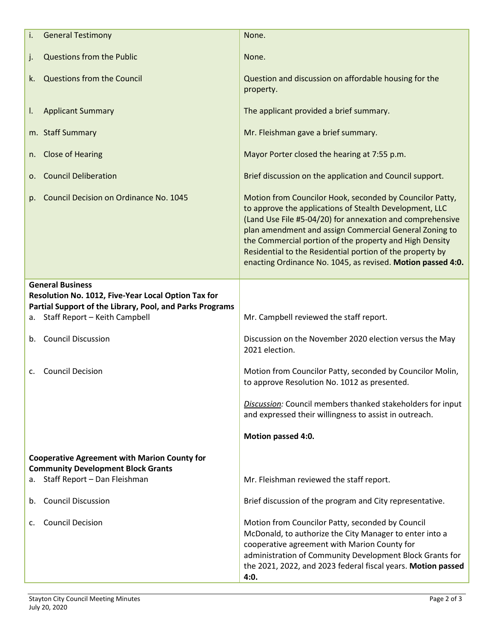| i.                                                                              | <b>General Testimony</b>                                                       | None.                                                                                                                                                                                                                                                                                                                                                                                                                             |
|---------------------------------------------------------------------------------|--------------------------------------------------------------------------------|-----------------------------------------------------------------------------------------------------------------------------------------------------------------------------------------------------------------------------------------------------------------------------------------------------------------------------------------------------------------------------------------------------------------------------------|
| j.                                                                              | <b>Questions from the Public</b>                                               | None.                                                                                                                                                                                                                                                                                                                                                                                                                             |
| k.                                                                              | Questions from the Council                                                     | Question and discussion on affordable housing for the<br>property.                                                                                                                                                                                                                                                                                                                                                                |
| I.                                                                              | <b>Applicant Summary</b>                                                       | The applicant provided a brief summary.                                                                                                                                                                                                                                                                                                                                                                                           |
|                                                                                 | m. Staff Summary                                                               | Mr. Fleishman gave a brief summary.                                                                                                                                                                                                                                                                                                                                                                                               |
| n.                                                                              | <b>Close of Hearing</b>                                                        | Mayor Porter closed the hearing at 7:55 p.m.                                                                                                                                                                                                                                                                                                                                                                                      |
| о.                                                                              | <b>Council Deliberation</b>                                                    | Brief discussion on the application and Council support.                                                                                                                                                                                                                                                                                                                                                                          |
| p.                                                                              | Council Decision on Ordinance No. 1045                                         | Motion from Councilor Hook, seconded by Councilor Patty,<br>to approve the applications of Stealth Development, LLC<br>(Land Use File #5-04/20) for annexation and comprehensive<br>plan amendment and assign Commercial General Zoning to<br>the Commercial portion of the property and High Density<br>Residential to the Residential portion of the property by<br>enacting Ordinance No. 1045, as revised. Motion passed 4:0. |
|                                                                                 | <b>General Business</b><br>Resolution No. 1012, Five-Year Local Option Tax for |                                                                                                                                                                                                                                                                                                                                                                                                                                   |
|                                                                                 | Partial Support of the Library, Pool, and Parks Programs                       |                                                                                                                                                                                                                                                                                                                                                                                                                                   |
| а.                                                                              | Staff Report - Keith Campbell                                                  | Mr. Campbell reviewed the staff report.                                                                                                                                                                                                                                                                                                                                                                                           |
| b.                                                                              | <b>Council Discussion</b>                                                      | Discussion on the November 2020 election versus the May<br>2021 election.                                                                                                                                                                                                                                                                                                                                                         |
| c.                                                                              | <b>Council Decision</b>                                                        | Motion from Councilor Patty, seconded by Councilor Molin,<br>to approve Resolution No. 1012 as presented.                                                                                                                                                                                                                                                                                                                         |
|                                                                                 |                                                                                | Discussion: Council members thanked stakeholders for input<br>and expressed their willingness to assist in outreach.                                                                                                                                                                                                                                                                                                              |
|                                                                                 |                                                                                | Motion passed 4:0.                                                                                                                                                                                                                                                                                                                                                                                                                |
|                                                                                 | <b>Cooperative Agreement with Marion County for</b>                            |                                                                                                                                                                                                                                                                                                                                                                                                                                   |
| <b>Community Development Block Grants</b><br>Staff Report - Dan Fleishman<br>а. |                                                                                | Mr. Fleishman reviewed the staff report.                                                                                                                                                                                                                                                                                                                                                                                          |
| b.                                                                              | <b>Council Discussion</b>                                                      | Brief discussion of the program and City representative.                                                                                                                                                                                                                                                                                                                                                                          |
| c.                                                                              | <b>Council Decision</b>                                                        | Motion from Councilor Patty, seconded by Council<br>McDonald, to authorize the City Manager to enter into a<br>cooperative agreement with Marion County for<br>administration of Community Development Block Grants for<br>the 2021, 2022, and 2023 federal fiscal years. Motion passed<br>4:0.                                                                                                                                   |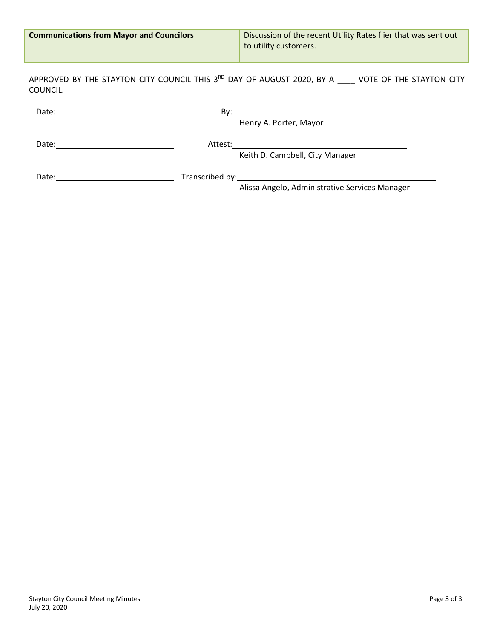| <b>Communications from Mayor and Councilors</b> | Discussion of the recent Utility Rates flier that was sent out<br>to utility customers.                          |
|-------------------------------------------------|------------------------------------------------------------------------------------------------------------------|
| COUNCIL.                                        | APPROVED BY THE STAYTON CITY COUNCIL THIS 3 <sup>RD</sup> DAY OF AUGUST 2020, BY A ____ VOTE OF THE STAYTON CITY |
|                                                 | Henry A. Porter, Mayor                                                                                           |
|                                                 | Keith D. Campbell, City Manager                                                                                  |
| Date:                                           | Transcribed by: Transcribed by:<br>Alissa Angelo, Administrative Services Manager                                |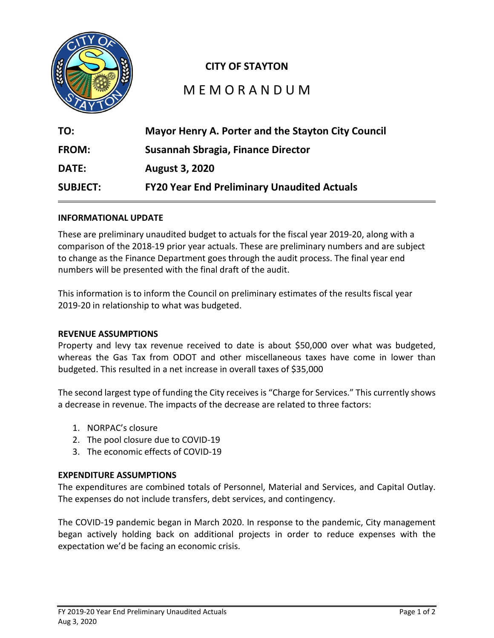

# **CITY OF STAYTON**

# M E M O R A N D U M

| TO:             | <b>Mayor Henry A. Porter and the Stayton City Council</b> |
|-----------------|-----------------------------------------------------------|
| <b>FROM:</b>    | Susannah Sbragia, Finance Director                        |
| <b>DATE:</b>    | <b>August 3, 2020</b>                                     |
| <b>SUBJECT:</b> | <b>FY20 Year End Preliminary Unaudited Actuals</b>        |

## **INFORMATIONAL UPDATE**

These are preliminary unaudited budget to actuals for the fiscal year 2019-20, along with a comparison of the 2018-19 prior year actuals. These are preliminary numbers and are subject to change as the Finance Department goes through the audit process. The final year end numbers will be presented with the final draft of the audit.

This information is to inform the Council on preliminary estimates of the results fiscal year 2019-20 in relationship to what was budgeted.

## **REVENUE ASSUMPTIONS**

Property and levy tax revenue received to date is about \$50,000 over what was budgeted, whereas the Gas Tax from ODOT and other miscellaneous taxes have come in lower than budgeted. This resulted in a net increase in overall taxes of \$35,000

The second largest type of funding the City receives is "Charge for Services." This currently shows a decrease in revenue. The impacts of the decrease are related to three factors:

- 1. NORPAC's closure
- 2. The pool closure due to COVID-19
- 3. The economic effects of COVID-19

## **EXPENDITURE ASSUMPTIONS**

The expenditures are combined totals of Personnel, Material and Services, and Capital Outlay. The expenses do not include transfers, debt services, and contingency.

The COVID-19 pandemic began in March 2020. In response to the pandemic, City management began actively holding back on additional projects in order to reduce expenses with the expectation we'd be facing an economic crisis.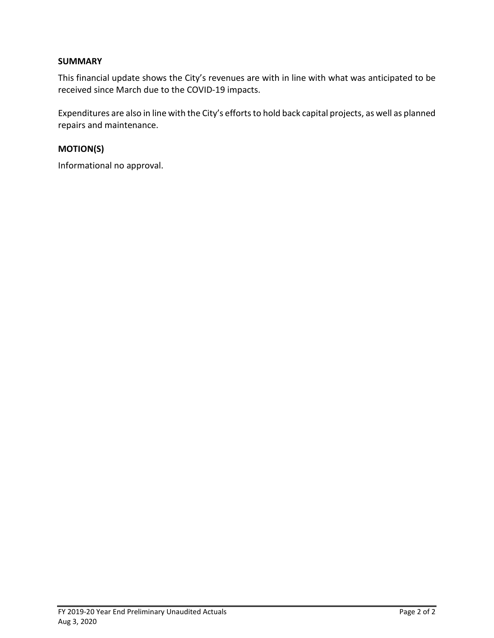# **SUMMARY**

This financial update shows the City's revenues are with in line with what was anticipated to be received since March due to the COVID-19 impacts.

Expenditures are also in line with the City's efforts to hold back capital projects, as well as planned repairs and maintenance.

# **MOTION(S)**

Informational no approval.